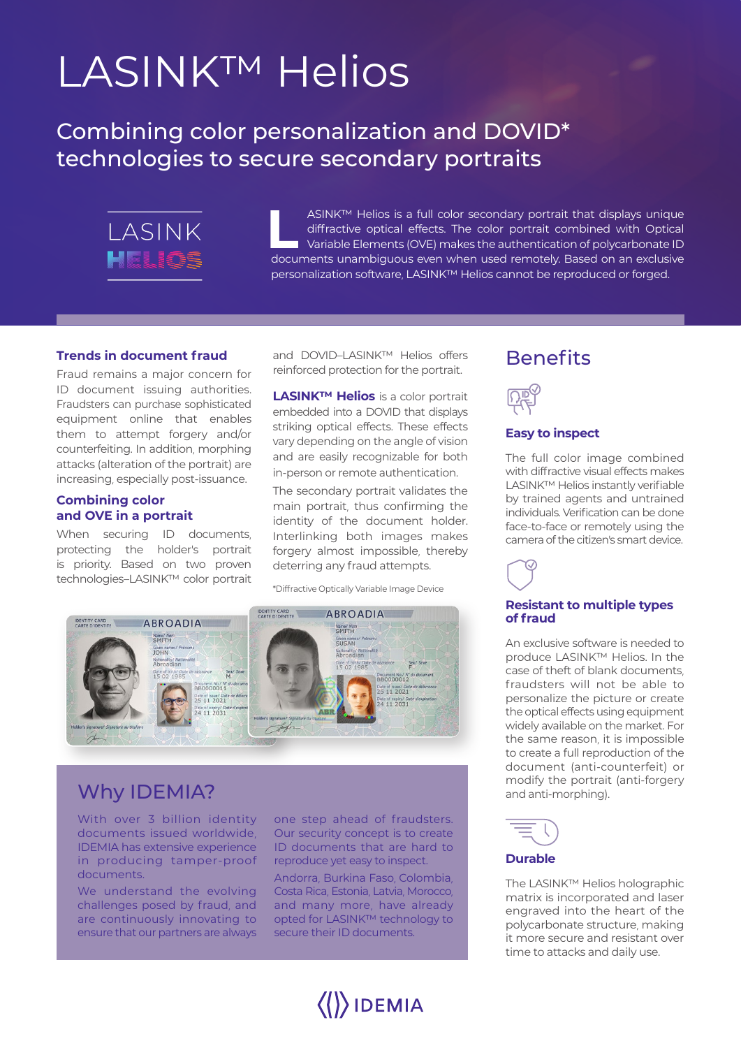# LASINK™ Helios

Combining color personalization and DOVID\* technologies to secure secondary portraits



**L** ASINK™ Helios is a full color secondary portrait that displays unique diffractive optical effects. The color portrait combined with Optical Variable Elements (OVE) makes the authentication of polycarbonate ID documents unambiguous even when used remotely. Based on an exclusive personalization software, LASINK™ Helios cannot be reproduced or forged.

#### **Trends in document fraud**

Fraud remains a major concern for ID document issuing authorities. Fraudsters can purchase sophisticated equipment online that enables them to attempt forgery and/or counterfeiting. In addition, morphing attacks (alteration of the portrait) are increasing, especially post-issuance.

#### **Combining color and OVE in a portrait**

When securing ID documents, protecting the holder's portrait is priority. Based on two proven technologies–LASINK™ color portrait and DOVID–LASINK™ Helios offers reinforced protection for the portrait.

**LASINK™ Helios** is a color portrait embedded into a DOVID that displays striking optical effects. These effects vary depending on the angle of vision and are easily recognizable for both in-person or remote authentication.

The secondary portrait validates the main portrait, thus confirming the identity of the document holder. Interlinking both images makes forgery almost impossible, thereby deterring any fraud attempts.

\*Diffractive Optically Variable Image Device



### Why IDEMIA?

With over 3 billion identity documents issued worldwide, IDEMIA has extensive experience in producing tamper-proof documents.

We understand the evolving challenges posed by fraud, and are continuously innovating to ensure that our partners are always one step ahead of fraudsters. Our security concept is to create ID documents that are hard to reproduce yet easy to inspect.

Andorra, Burkina Faso, Colombia, Costa Rica, Estonia, Latvia, Morocco, and many more, have already opted for LASINK™ technology to secure their ID documents.

 $\langle\langle\rangle\rangle$ IDEMIA

## **Benefits**



#### **Easy to inspect**

The full color image combined with diffractive visual effects makes LASINK™ Helios instantly verifiable by trained agents and untrained individuals. Verification can be done face-to-face or remotely using the camera of the citizen's smart device.

#### **Resistant to multiple types of fraud**

An exclusive software is needed to produce LASINK™ Helios. In the case of theft of blank documents, fraudsters will not be able to personalize the picture or create the optical effects using equipment widely available on the market. For the same reason, it is impossible to create a full reproduction of the document (anti-counterfeit) or modify the portrait (anti-forgery and anti-morphing).



#### **Durable**

The LASINK™ Helios holographic matrix is incorporated and laser engraved into the heart of the polycarbonate structure, making it more secure and resistant over time to attacks and daily use.